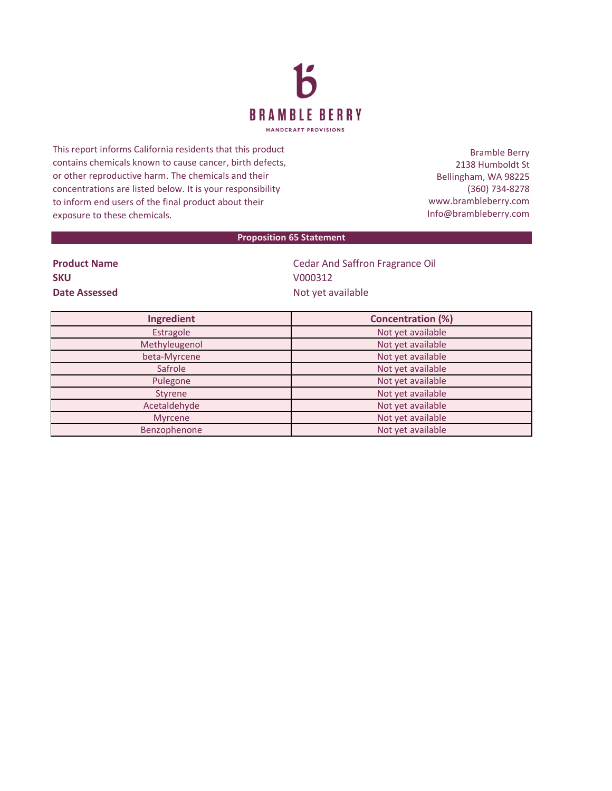

This report informs California residents that this product contains chemicals known to cause cancer, birth defects, or other reproductive harm. The chemicals and their concentrations are listed below. It is your responsibility to inform end users of the final product about their exposure to these chemicals.

Bramble Berry 2138 Humboldt St Bellingham, WA 98225 (360) 734-8278 www.brambleberry.com Info@brambleberry.com

## **Proposition 65 Statement**

| <b>Product Name</b> |  |
|---------------------|--|
| <b>SKU</b>          |  |
| Date Assessed       |  |

**Cedar And Saffron Fragrance Oil SKU** V000312 **Date Assessed** Not yet available

| Ingredient     | <b>Concentration (%)</b> |
|----------------|--------------------------|
| Estragole      | Not yet available        |
| Methyleugenol  | Not yet available        |
| beta-Myrcene   | Not yet available        |
| Safrole        | Not yet available        |
| Pulegone       | Not yet available        |
| <b>Styrene</b> | Not yet available        |
| Acetaldehyde   | Not yet available        |
| <b>Myrcene</b> | Not yet available        |
| Benzophenone   | Not yet available        |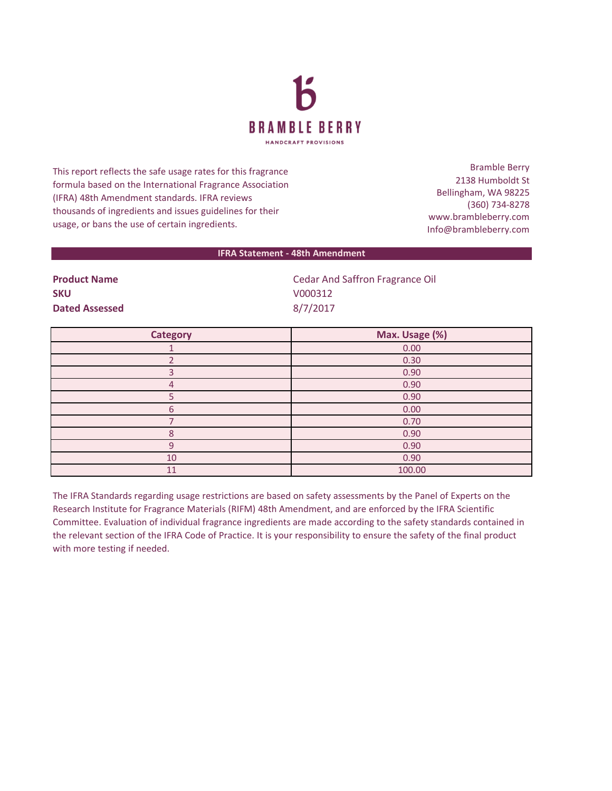

This report reflects the safe usage rates for this fragrance formula based on the International Fragrance Association (IFRA) 48th Amendment standards. IFRA reviews thousands of ingredients and issues guidelines for their usage, or bans the use of certain ingredients.

Bramble Berry 2138 Humboldt St Bellingham, WA 98225 (360) 734-8278 www.brambleberry.com Info@brambleberry.com

## **IFRA Statement - 48th Amendment**

| <b>Product Name</b>   | Cedar And Saffron Fragrance Oil |
|-----------------------|---------------------------------|
| <b>SKU</b>            | V000312                         |
| <b>Dated Assessed</b> | 8/7/2017                        |

| <b>Category</b> | Max. Usage (%) |
|-----------------|----------------|
|                 | 0.00           |
|                 | 0.30           |
| Р               | 0.90           |
| 4               | 0.90           |
|                 | 0.90           |
| 6               | 0.00           |
|                 | 0.70           |
| 8               | 0.90           |
| 9               | 0.90           |
| 10              | 0.90           |
| 11              | 100.00         |

The IFRA Standards regarding usage restrictions are based on safety assessments by the Panel of Experts on the Research Institute for Fragrance Materials (RIFM) 48th Amendment, and are enforced by the IFRA Scientific Committee. Evaluation of individual fragrance ingredients are made according to the safety standards contained in the relevant section of the IFRA Code of Practice. It is your responsibility to ensure the safety of the final product with more testing if needed.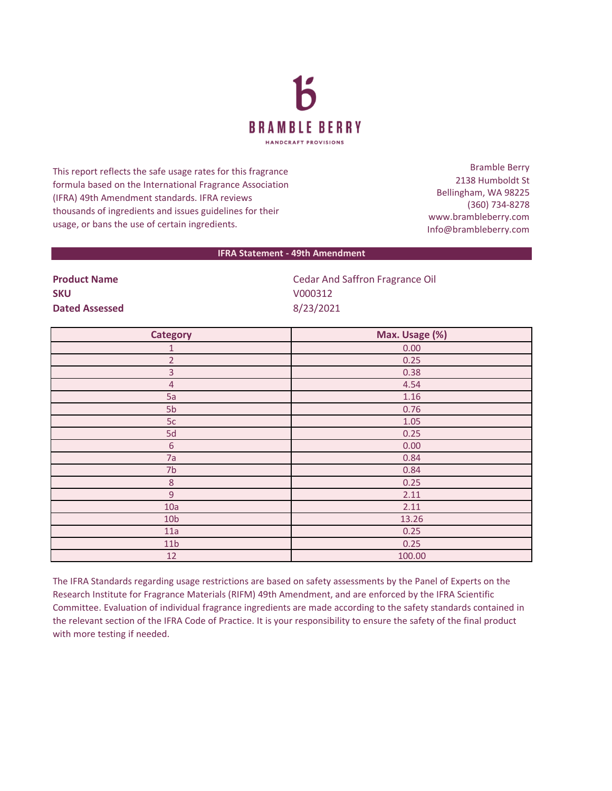

This report reflects the safe usage rates for this fragrance formula based on the International Fragrance Association (IFRA) 49th Amendment standards. IFRA reviews thousands of ingredients and issues guidelines for their usage, or bans the use of certain ingredients.

Bramble Berry 2138 Humboldt St Bellingham, WA 98225 (360) 734-8278 www.brambleberry.com Info@brambleberry.com

## **IFRA Statement - 49th Amendment**

**SKU** V000312 **Dated Assessed** 8/23/2021

**Product Name Cedar And Saffron Fragrance Oil** 

| <b>Category</b> | Max. Usage (%) |
|-----------------|----------------|
| 1               | 0.00           |
| $\overline{2}$  | 0.25           |
| 3               | 0.38           |
| $\overline{4}$  | 4.54           |
| 5a              | $1.16\,$       |
| 5b              | 0.76           |
| 5c              | 1.05           |
| 5d              | 0.25           |
| $\sqrt{6}$      | 0.00           |
| 7a              | 0.84           |
| 7 <sub>b</sub>  | 0.84           |
| $\,8\,$         | 0.25           |
| $\overline{9}$  | 2.11           |
| 10a             | 2.11           |
| 10 <sub>b</sub> | 13.26          |
| 11a             | 0.25           |
| 11 <sub>b</sub> | 0.25           |
| 12              | 100.00         |

The IFRA Standards regarding usage restrictions are based on safety assessments by the Panel of Experts on the Research Institute for Fragrance Materials (RIFM) 49th Amendment, and are enforced by the IFRA Scientific Committee. Evaluation of individual fragrance ingredients are made according to the safety standards contained in the relevant section of the IFRA Code of Practice. It is your responsibility to ensure the safety of the final product with more testing if needed.